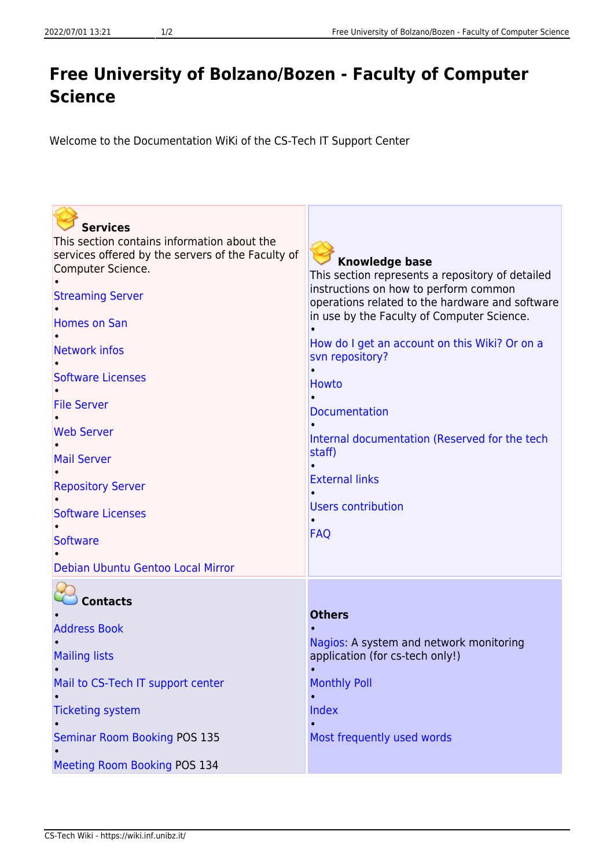## **Free University of Bolzano/Bozen - Faculty of Computer Science**

Welcome to the Documentation WiKi of the CS-Tech IT Support Center

| <b>Services</b>                                                        |                                                                                          |
|------------------------------------------------------------------------|------------------------------------------------------------------------------------------|
| This section contains information about the                            |                                                                                          |
| services offered by the servers of the Faculty of<br>Computer Science. | <b>Knowledge base</b>                                                                    |
|                                                                        | This section represents a repository of detailed                                         |
| <b>Streaming Server</b>                                                | instructions on how to perform common<br>operations related to the hardware and software |
| <b>Homes on San</b>                                                    | in use by the Faculty of Computer Science.                                               |
|                                                                        |                                                                                          |
| <b>Network infos</b>                                                   | How do I get an account on this Wiki? Or on a<br>svn repository?                         |
|                                                                        |                                                                                          |
| <b>Software Licenses</b>                                               | <b>Howto</b>                                                                             |
| <b>File Server</b>                                                     |                                                                                          |
|                                                                        | <b>Documentation</b>                                                                     |
| <b>Web Server</b>                                                      | Internal documentation (Reserved for the tech                                            |
| <b>Mail Server</b>                                                     | staff)                                                                                   |
|                                                                        | <b>External links</b>                                                                    |
| <b>Repository Server</b>                                               |                                                                                          |
| <b>Software Licenses</b>                                               | <b>Users contribution</b>                                                                |
|                                                                        |                                                                                          |
| <b>Software</b>                                                        | <b>FAQ</b>                                                                               |
| Debian Ubuntu Gentoo Local Mirror                                      |                                                                                          |
|                                                                        |                                                                                          |
| <b>Contacts</b>                                                        |                                                                                          |
|                                                                        | <b>Others</b>                                                                            |
| <b>Address Book</b>                                                    |                                                                                          |
|                                                                        | Nagios: A system and network monitoring<br>application (for cs-tech only!)               |
| <b>Mailing lists</b>                                                   |                                                                                          |
| Mail to CS-Tech IT support center                                      | <b>Monthly Poll</b>                                                                      |
|                                                                        |                                                                                          |
| <b>Ticketing system</b>                                                | Index                                                                                    |
| <b>Seminar Room Booking POS 135</b>                                    | Most frequently used words                                                               |
|                                                                        |                                                                                          |
| Meeting Room Booking POS 134                                           |                                                                                          |